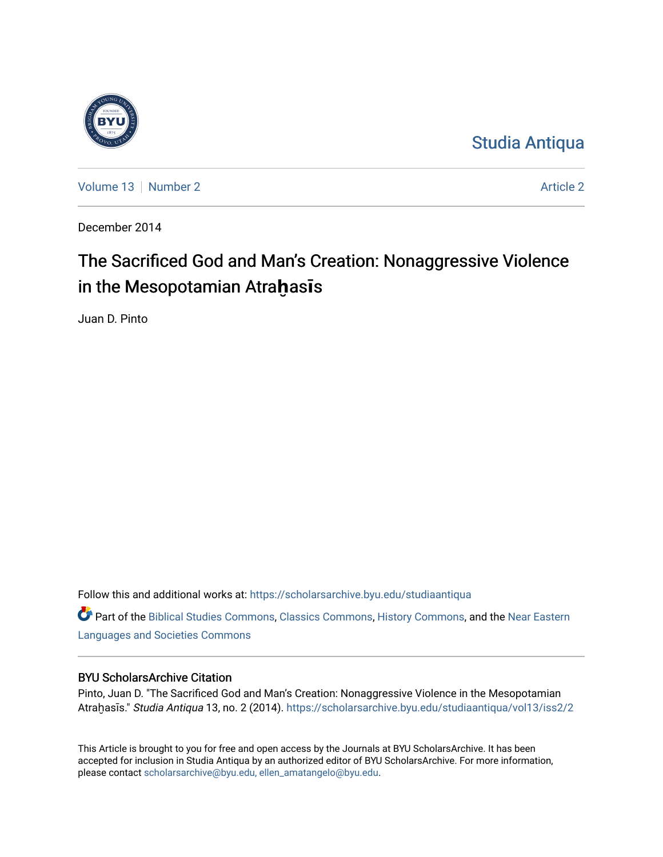

[Studia Antiqua](https://scholarsarchive.byu.edu/studiaantiqua) 

[Volume 13](https://scholarsarchive.byu.edu/studiaantiqua/vol13) [Number 2](https://scholarsarchive.byu.edu/studiaantiqua/vol13/iss2) [Article 2](https://scholarsarchive.byu.edu/studiaantiqua/vol13/iss2/2) Article 2 Article 2 Article 2 Article 2 Article 2 Article 2

December 2014

# The Sacrificed God and Man's Creation: Nonaggressive Violence in the Mesopotamian A Mesopotamian Atra**ḫ**as**ī**s

Juan D. Pinto

Follow this and additional works at: [https://scholarsarchive.byu.edu/studiaantiqua](https://scholarsarchive.byu.edu/studiaantiqua?utm_source=scholarsarchive.byu.edu%2Fstudiaantiqua%2Fvol13%2Fiss2%2F2&utm_medium=PDF&utm_campaign=PDFCoverPages) 

Part of the [Biblical Studies Commons,](http://network.bepress.com/hgg/discipline/539?utm_source=scholarsarchive.byu.edu%2Fstudiaantiqua%2Fvol13%2Fiss2%2F2&utm_medium=PDF&utm_campaign=PDFCoverPages) [Classics Commons](http://network.bepress.com/hgg/discipline/446?utm_source=scholarsarchive.byu.edu%2Fstudiaantiqua%2Fvol13%2Fiss2%2F2&utm_medium=PDF&utm_campaign=PDFCoverPages), [History Commons](http://network.bepress.com/hgg/discipline/489?utm_source=scholarsarchive.byu.edu%2Fstudiaantiqua%2Fvol13%2Fiss2%2F2&utm_medium=PDF&utm_campaign=PDFCoverPages), and the [Near Eastern](http://network.bepress.com/hgg/discipline/484?utm_source=scholarsarchive.byu.edu%2Fstudiaantiqua%2Fvol13%2Fiss2%2F2&utm_medium=PDF&utm_campaign=PDFCoverPages)  [Languages and Societies Commons](http://network.bepress.com/hgg/discipline/484?utm_source=scholarsarchive.byu.edu%2Fstudiaantiqua%2Fvol13%2Fiss2%2F2&utm_medium=PDF&utm_campaign=PDFCoverPages) 

## BYU ScholarsArchive Citation

Pinto, Juan D. "The Sacrificed God and Man's Creation: Nonaggressive Violence in the Mesopotamian Atraḫasīs." Studia Antiqua 13, no. 2 (2014). [https://scholarsarchive.byu.edu/studiaantiqua/vol13/iss2/2](https://scholarsarchive.byu.edu/studiaantiqua/vol13/iss2/2?utm_source=scholarsarchive.byu.edu%2Fstudiaantiqua%2Fvol13%2Fiss2%2F2&utm_medium=PDF&utm_campaign=PDFCoverPages) 

This Article is brought to you for free and open access by the Journals at BYU ScholarsArchive. It has been accepted for inclusion in Studia Antiqua by an authorized editor of BYU ScholarsArchive. For more information, please contact [scholarsarchive@byu.edu, ellen\\_amatangelo@byu.edu.](mailto:scholarsarchive@byu.edu,%20ellen_amatangelo@byu.edu)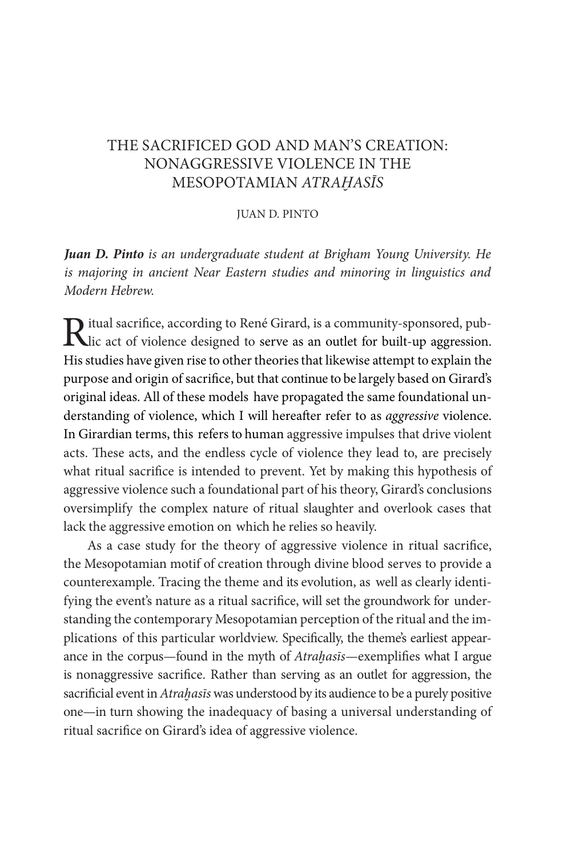## THE SACRIFICED GOD AND MAN'S CREATION: NONAGGRESSIVE VIOLENCE IN THE MESOPOTAMIAN *ATRAḪAS*Ī*S*

#### JUAN D. PINTO

*Juan D. Pinto is an undergraduate student at Brigham Young University. He is majoring in ancient Near Eastern studies and minoring in linguistics and Modern Hebrew.*

Ritual sacrifice, according to René Girard, is a community-sponsored, pub-<br>
Lic act of violence designed to serve as an outlet for built-up aggression. His studies have given rise to other theories that likewise attempt to explain the purpose and origin of sacrifce, but that continue to be largely based on Girard's original ideas. All of these models have propagated the same foundational understanding of violence, which I will hereafer refer to as *aggressive* violence. In Girardian terms, this refers to human aggressive impulses that drive violent acts. These acts, and the endless cycle of violence they lead to, are precisely what ritual sacrifce is intended to prevent. Yet by making this hypothesis of aggressive violence such a foundational part of his theory, Girard's conclusions oversimplify the complex nature of ritual slaughter and overlook cases that lack the aggressive emotion on which he relies so heavily.

As a case study for the theory of aggressive violence in ritual sacrifce, the Mesopotamian motif of creation through divine blood serves to provide a counterexample. Tracing the theme and its evolution, as well as clearly identifying the event's nature as a ritual sacrifce, will set the groundwork for understanding the contemporary Mesopotamian perception of the ritual and the implications of this particular worldview. Specifcally, the theme's earliest appearance in the corpus—found in the myth of *Atraḫas*ī*s—*exemplifes what I argue is nonaggressive sacrifce. Rather than serving as an outlet for aggression, the sacrifcial event in *Atraḫas*ī*s* was understood by its audience to be a purely positive one—in turn showing the inadequacy of basing a universal understanding of ritual sacrifce on Girard's idea of aggressive violence.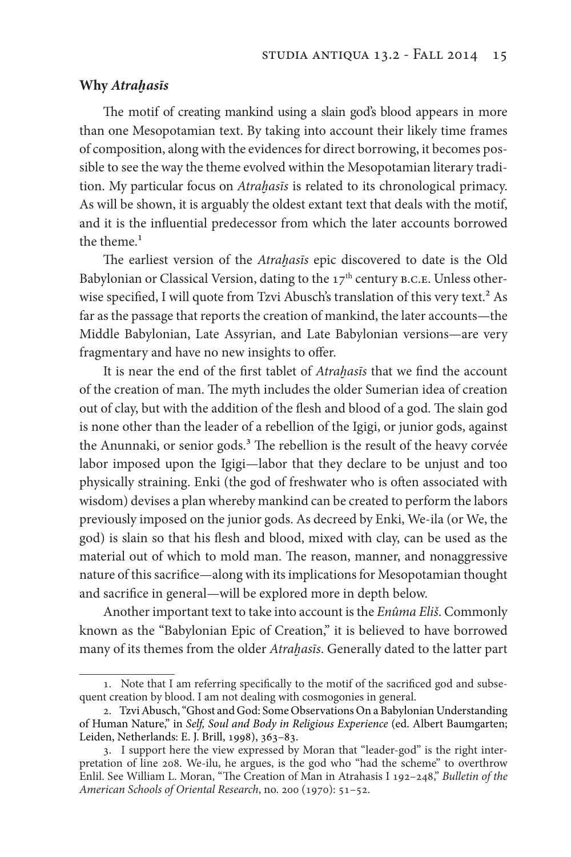#### **Why** *Atraḫas***ī***s*

The motif of creating mankind using a slain god's blood appears in more than one Mesopotamian text. By taking into account their likely time frames of composition, along with the evidences for direct borrowing, it becomes possible to see the way the theme evolved within the Mesopotamian literary tradition. My particular focus on *Atraḫas*ī*s* is related to its chronological primacy. As will be shown, it is arguably the oldest extant text that deals with the motif, and it is the infuential predecessor from which the later accounts borrowed the theme. $1$ 

The earliest version of the *Atrahasis* epic discovered to date is the Old Babylonian or Classical Version, dating to the  $17<sup>th</sup>$  century B.C.E. Unless otherwise specified, I will quote from Tzvi Abusch's translation of this very text.<sup>2</sup> As far as the passage that reports the creation of mankind, the later accounts—the Middle Babylonian, Late Assyrian, and Late Babylonian versions—are very fragmentary and have no new insights to offer.

It is near the end of the frst tablet of *Atraḫas*ī*s* that we fnd the account of the creation of man. The myth includes the older Sumerian idea of creation out of clay, but with the addition of the flesh and blood of a god. The slain god is none other than the leader of a rebellion of the Igigi, or junior gods, against the Anunnaki, or senior gods.<sup>3</sup> The rebellion is the result of the heavy corvée labor imposed upon the Igigi—labor that they declare to be unjust and too physically straining. Enki (the god of freshwater who is often associated with wisdom) devises a plan whereby mankind can be created to perform the labors previously imposed on the junior gods. As decreed by Enki, We-ila (or We, the god) is slain so that his fesh and blood, mixed with clay, can be used as the material out of which to mold man. The reason, manner, and nonaggressive nature of this sacrifce—along with its implications for Mesopotamian thought and sacrifce in general—will be explored more in depth below.

Another important text to take into account is the *Enûma Eli*š. Commonly known as the "Babylonian Epic of Creation," it is believed to have borrowed many of its themes from the older *Atraḫas*ī*s*. Generally dated to the latter part

<sup>1</sup>. Note that I am referring specifcally to the motif of the sacrifced god and subsequent creation by blood. I am not dealing with cosmogonies in general.

<sup>2</sup>. Tzvi Abusch, "Ghost and God: Some Observations On a Babylonian Understanding of Human Nature," in *Self, Soul and Body in Religious Experience* (ed. Albert Baumgarten; Leiden, Netherlands: E. J. Brill, 1998), 363–83.

<sup>3</sup>. I support here the view expressed by Moran that "leader-god" is the right interpretation of line 208. We-ilu, he argues, is the god who "had the scheme" to overthrow Enlil. See William L. Moran, "The Creation of Man in Atrahasis I 192-248," *Bulletin of the American Schools of Oriental Research*, no. 200 (1970): 51–52.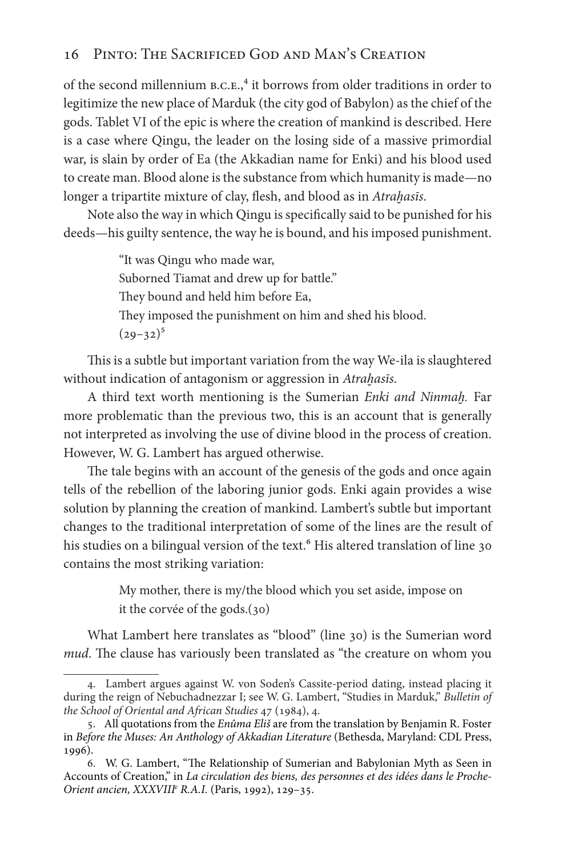of the second millennium  $B.C.E.,<sup>4</sup>$  it borrows from older traditions in order to legitimize the new place of Marduk (the city god of Babylon) as the chief of the gods. Tablet VI of the epic is where the creation of mankind is described. Here is a case where Qingu, the leader on the losing side of a massive primordial war, is slain by order of Ea (the Akkadian name for Enki) and his blood used to create man. Blood alone is the substance from which humanity is made—no longer a tripartite mixture of clay, fesh, and blood as in *Atraḫas*ī*s*.

Note also the way in which Qingu is specifcally said to be punished for his deeds—his guilty sentence, the way he is bound, and his imposed punishment.

> "It was Qingu who made war, Suborned Tiamat and drew up for battle." They bound and held him before Ea, They imposed the punishment on him and shed his blood.  $(29-32)^5$

This is a subtle but important variation from the way We-ila is slaughtered without indication of antagonism or aggression in *Atraḫas*ī*s*.

A third text worth mentioning is the Sumerian *Enki and Ninmaḫ.* Far more problematic than the previous two, this is an account that is generally not interpreted as involving the use of divine blood in the process of creation. However, W. G. Lambert has argued otherwise.

The tale begins with an account of the genesis of the gods and once again tells of the rebellion of the laboring junior gods. Enki again provides a wise solution by planning the creation of mankind. Lambert's subtle but important changes to the traditional interpretation of some of the lines are the result of his studies on a bilingual version of the text.<sup>6</sup> His altered translation of line 30 contains the most striking variation:

> My mother, there is my/the blood which you set aside, impose on it the corvée of the gods.(30)

What Lambert here translates as "blood" (line 30) is the Sumerian word *mud*. The clause has variously been translated as "the creature on whom you

<sup>4</sup>. Lambert argues against W. von Soden's Cassite-period dating, instead placing it during the reign of Nebuchadnezzar I; see W. G. Lambert, "Studies in Marduk," *Bulletin of the School of Oriental and African Studies* 47 (1984), 4.

<sup>5</sup>. All quotations from the *Enûma Eli*š are from the translation by Benjamin R. Foster in *Before the Muses: An Anthology of Akkadian Literature* (Bethesda, Maryland: CDL Press, 1996).

<sup>6.</sup> W. G. Lambert, "The Relationship of Sumerian and Babylonian Myth as Seen in Accounts of Creation," in *La circulation des biens, des personnes et des idées dans le Proche-Orient ancien, XXXVIIIe R.A.I.* (Paris, 1992), 129–35.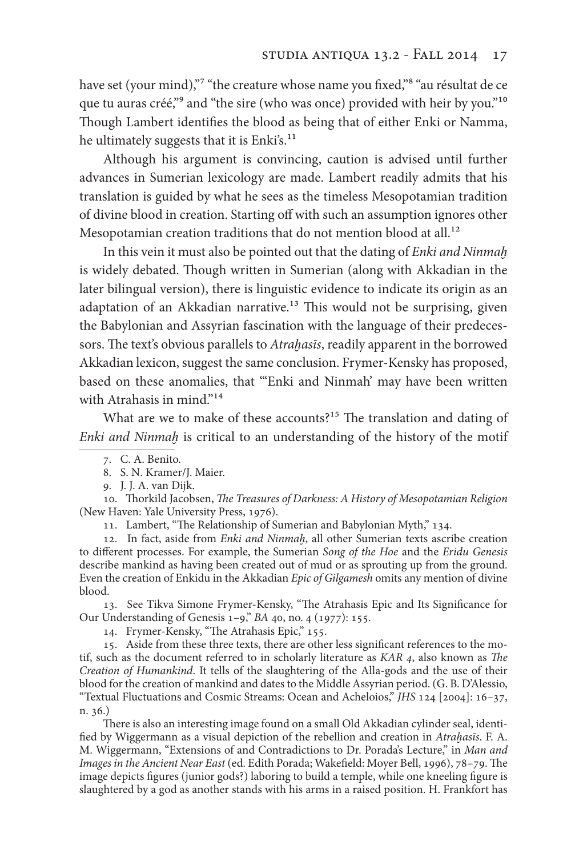have set (your mind),"<sup>7</sup> "the creature whose name you fixed,"<sup>8</sup> "au résultat de ce que tu auras créé,"<sup>9</sup> and "the sire (who was once) provided with heir by you."<sup>10</sup> Though Lambert identifies the blood as being that of either Enki or Namma, he ultimately suggests that it is Enki's.<sup>11</sup>

Although his argument is convincing, caution is advised until further advances in Sumerian lexicology are made. Lambert readily admits that his translation is guided by what he sees as the timeless Mesopotamian tradition of divine blood in creation. Starting of with such an assumption ignores other Mesopotamian creation traditions that do not mention blood at all.<sup>12</sup>

In this vein it must also be pointed out that the dating of *Enki and Ninmaḫ*  is widely debated. Though written in Sumerian (along with Akkadian in the later bilingual version), there is linguistic evidence to indicate its origin as an adaptation of an Akkadian narrative.<sup>13</sup> This would not be surprising, given the Babylonian and Assyrian fascination with the language of their predecessors. The text's obvious parallels to *Atrahasīs*, readily apparent in the borrowed Akkadian lexicon, suggest the same conclusion. Frymer-Kensky has proposed, based on these anomalies, that "'Enki and Ninmah' may have been written with Atrahasis in mind."<sup>14</sup>

What are we to make of these accounts?<sup>15</sup> The translation and dating of *Enki and Ninmaḫ* is critical to an understanding of the history of the motif

10. Torkild Jacobsen, T*e Treasures of Darkness: A History of Mesopotamian Religion*  (New Haven: Yale University Press, 1976).

11. Lambert, "The Relationship of Sumerian and Babylonian Myth," 134.

12. In fact, aside from *Enki and Ninmah*, all other Sumerian texts ascribe creation to diferent processes. For example, the Sumerian *Song of the Hoe* and the *Eridu Genesis* describe mankind as having been created out of mud or as sprouting up from the ground. Even the creation of Enkidu in the Akkadian *Epic of Gilgamesh* omits any mention of divine blood.

13. See Tikva Simone Frymer-Kensky, "Te Atrahasis Epic and Its Signifcance for Our Understanding of Genesis 1–9," *BA* 40, no. 4 (1977): 155.

14. Frymer-Kensky, "The Atrahasis Epic," 155.

15. Aside from these three texts, there are other less signifcant references to the motif, such as the document referred to in scholarly literature as *KAR* 4, also known as T*e Creation of Humankind*. It tells of the slaughtering of the Alla-gods and the use of their blood for the creation of mankind and dates to the Middle Assyrian period. (G. B. D'Alessio, "Textual Fluctuations and Cosmic Streams: Ocean and Acheloios," *JHS* 124 [2004]: 16–37, n. 36.)

There is also an interesting image found on a small Old Akkadian cylinder seal, identifed by Wiggermann as a visual depiction of the rebellion and creation in *Atraḫas*ī*s*. F. A. M. Wiggermann, "Extensions of and Contradictions to Dr. Porada's Lecture," in *Man and Images in the Ancient Near East* (ed. Edith Porada; Wakefeld: Moyer Bell, 1996), 78–79. Te image depicts fgures (junior gods?) laboring to build a temple, while one kneeling fgure is slaughtered by a god as another stands with his arms in a raised position. H. Frankfort has

<sup>7</sup>. C. A. Benito.

<sup>8</sup>. S. N. Kramer/J. Maier.

<sup>9</sup>. J. J. A. van Dijk.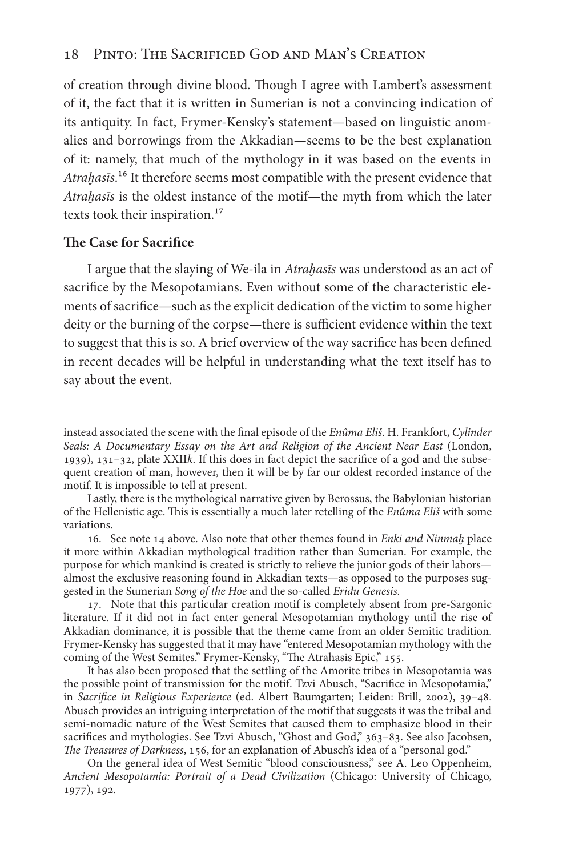## 18 Pinto: The Sacrificed God and Man's Creation

of creation through divine blood. Though I agree with Lambert's assessment of it, the fact that it is written in Sumerian is not a convincing indication of its antiquity. In fact, Frymer-Kensky's statement—based on linguistic anomalies and borrowings from the Akkadian—seems to be the best explanation of it: namely, that much of the mythology in it was based on the events in *Atraḫas*ī*s*.16 It therefore seems most compatible with the present evidence that *Atraḫas*ī*s* is the oldest instance of the motif—the myth from which the later texts took their inspiration.<sup>17</sup>

#### **Te Case for Sacrifce**

I argue that the slaying of We-ila in *Atraḫas*ī*s* was understood as an act of sacrifce by the Mesopotamians. Even without some of the characteristic elements of sacrifce—such as the explicit dedication of the victim to some higher deity or the burning of the corpse—there is sufficient evidence within the text to suggest that this is so. A brief overview of the way sacrifce has been defned in recent decades will be helpful in understanding what the text itself has to say about the event.

instead associated the scene with the fnal episode of the *Enûma Eli*š. H. Frankfort, *Cylinder Seals: A Documentary Essay on the Art and Religion of the Ancient Near East* (London, 1939), 131–32, plate XXII*k*. If this does in fact depict the sacrifce of a god and the subsequent creation of man, however, then it will be by far our oldest recorded instance of the motif. It is impossible to tell at present.

Lastly, there is the mythological narrative given by Berossus, the Babylonian historian of the Hellenistic age. Tis is essentially a much later retelling of the *Enûma Eli*š with some variations.

<sup>16</sup>. See note 14 above. Also note that other themes found in *Enki and Ninmaḫ* place it more within Akkadian mythological tradition rather than Sumerian. For example, the purpose for which mankind is created is strictly to relieve the junior gods of their labors almost the exclusive reasoning found in Akkadian texts—as opposed to the purposes suggested in the Sumerian *Song of the Hoe* and the so-called *Eridu Genesis*.

<sup>17</sup>. Note that this particular creation motif is completely absent from pre-Sargonic literature. If it did not in fact enter general Mesopotamian mythology until the rise of Akkadian dominance, it is possible that the theme came from an older Semitic tradition. Frymer-Kensky has suggested that it may have "entered Mesopotamian mythology with the coming of the West Semites." Frymer-Kensky, "The Atrahasis Epic," 155.

It has also been proposed that the settling of the Amorite tribes in Mesopotamia was the possible point of transmission for the motif. Tzvi Abusch, "Sacrifce in Mesopotamia," in *Sacri*f*ce in Religious Experience* (ed. Albert Baumgarten; Leiden: Brill, 2002), 39–48. Abusch provides an intriguing interpretation of the motif that suggests it was the tribal and semi-nomadic nature of the West Semites that caused them to emphasize blood in their sacrifices and mythologies. See Tzvi Abusch, "Ghost and God," 363-83. See also Jacobsen, T*e Treasures of Darkness*, 156, for an explanation of Abusch's idea of a "personal god."

On the general idea of West Semitic "blood consciousness," see A. Leo Oppenheim, *Ancient Mesopotamia: Portrait of a Dead Civilization* (Chicago: University of Chicago, 1977), 192.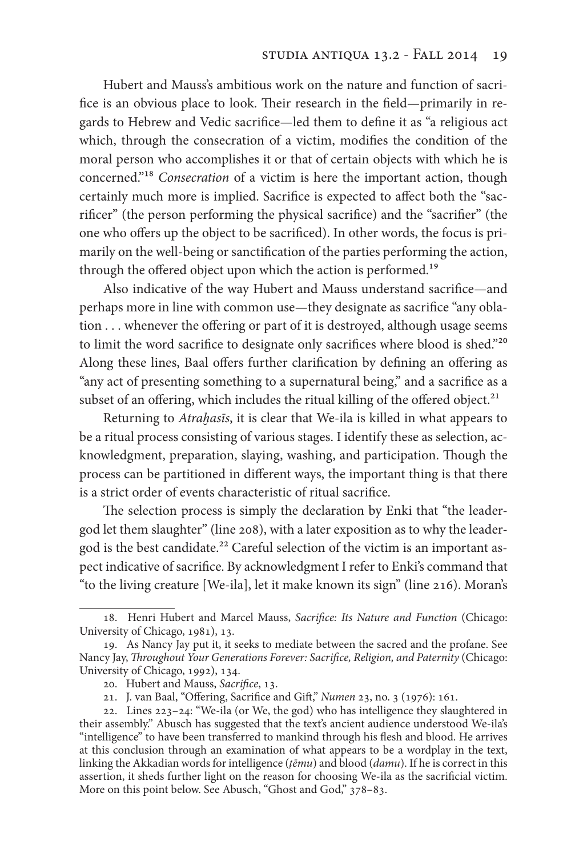Hubert and Mauss's ambitious work on the nature and function of sacrifice is an obvious place to look. Their research in the field—primarily in regards to Hebrew and Vedic sacrifce—led them to defne it as "a religious act which, through the consecration of a victim, modifes the condition of the moral person who accomplishes it or that of certain objects with which he is concerned."18 *Consecration* of a victim is here the important action, though certainly much more is implied. Sacrifce is expected to afect both the "sacrifcer" (the person performing the physical sacrifce) and the "sacrifer" (the one who offers up the object to be sacrificed). In other words, the focus is primarily on the well-being or sanctifcation of the parties performing the action, through the offered object upon which the action is performed.<sup>19</sup>

Also indicative of the way Hubert and Mauss understand sacrifce—and perhaps more in line with common use—they designate as sacrifce "any oblation . . . whenever the offering or part of it is destroyed, although usage seems to limit the word sacrifice to designate only sacrifices where blood is shed."<sup>20</sup> Along these lines, Baal offers further clarification by defining an offering as "any act of presenting something to a supernatural being," and a sacrifce as a subset of an offering, which includes the ritual killing of the offered object. $21$ 

Returning to *Atraḫas*ī*s*, it is clear that We-ila is killed in what appears to be a ritual process consisting of various stages. I identify these as selection, acknowledgment, preparation, slaying, washing, and participation. Though the process can be partitioned in diferent ways, the important thing is that there is a strict order of events characteristic of ritual sacrifce.

The selection process is simply the declaration by Enki that "the leadergod let them slaughter" (line 208), with a later exposition as to why the leadergod is the best candidate.<sup>22</sup> Careful selection of the victim is an important aspect indicative of sacrifce. By acknowledgment I refer to Enki's command that "to the living creature [We-ila], let it make known its sign" (line 216). Moran's

<sup>18</sup>. Henri Hubert and Marcel Mauss, *Sacri*f*ce: Its Nature and Function* (Chicago: University of Chicago, 1981), 13.

<sup>19</sup>. As Nancy Jay put it, it seeks to mediate between the sacred and the profane. See Nancy Jay, T*roughout Your Generations Forever: Sacri*f*ce, Religion, and Paternity* (Chicago: University of Chicago, 1992), 134.

<sup>20</sup>. Hubert and Mauss, *Sacri*f*ce*, 13.

<sup>21</sup>. J. van Baal, "Ofering, Sacrifce and Gif," *Numen* 23, no. 3 (1976): 161.

<sup>22</sup>. Lines 223–24: "We-ila (or We, the god) who has intelligence they slaughtered in their assembly." Abusch has suggested that the text's ancient audience understood We-ila's "intelligence" to have been transferred to mankind through his fesh and blood. He arrives at this conclusion through an examination of what appears to be a wordplay in the text, linking the Akkadian words for intelligence (*ṭ*ē*mu*) and blood (*damu*). If he is correct in this assertion, it sheds further light on the reason for choosing We-ila as the sacrifcial victim. More on this point below. See Abusch, "Ghost and God," 378-83.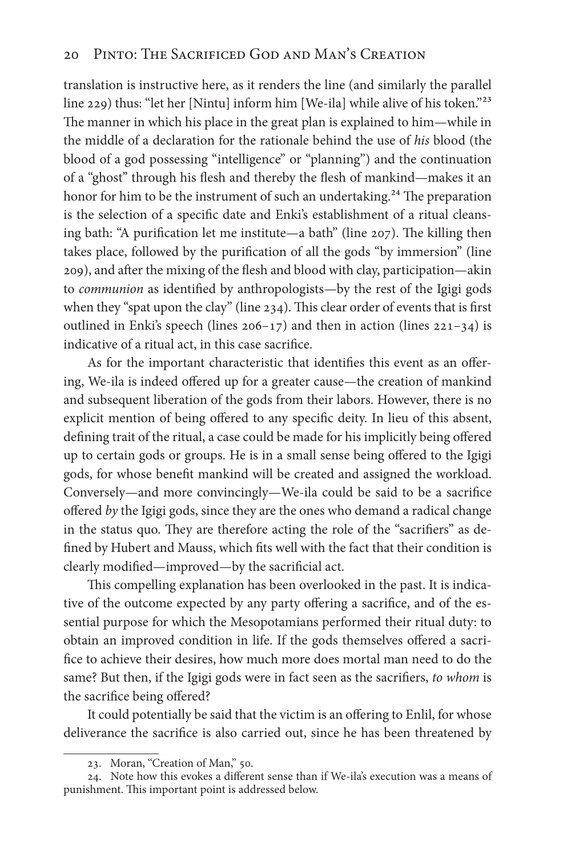translation is instructive here, as it renders the line (and similarly the parallel line 229) thus: "let her [Nintu] inform him [We-ila] while alive of his token."23 The manner in which his place in the great plan is explained to him—while in the middle of a declaration for the rationale behind the use of *his* blood (the blood of a god possessing "intelligence" or "planning") and the continuation of a "ghost" through his fesh and thereby the fesh of mankind—makes it an honor for him to be the instrument of such an undertaking.<sup>24</sup> The preparation is the selection of a specifc date and Enki's establishment of a ritual cleansing bath: "A purification let me institute—a bath" (line 207). The killing then takes place, followed by the purifcation of all the gods "by immersion" (line 209), and afer the mixing of the fesh and blood with clay, participation—akin to *communion* as identifed by anthropologists—by the rest of the Igigi gods when they "spat upon the clay" (line  $234$ ). This clear order of events that is first outlined in Enki's speech (lines  $206-17$ ) and then in action (lines  $221-34$ ) is indicative of a ritual act, in this case sacrifce.

As for the important characteristic that identifies this event as an offering, We-ila is indeed offered up for a greater cause—the creation of mankind and subsequent liberation of the gods from their labors. However, there is no explicit mention of being offered to any specific deity. In lieu of this absent, defning trait of the ritual, a case could be made for his implicitly being ofered up to certain gods or groups. He is in a small sense being ofered to the Igigi gods, for whose beneft mankind will be created and assigned the workload. Conversely—and more convincingly—We-ila could be said to be a sacrifce ofered *by* the Igigi gods, since they are the ones who demand a radical change in the status quo. They are therefore acting the role of the "sacrifiers" as defned by Hubert and Mauss, which fts well with the fact that their condition is clearly modifed—improved—by the sacrifcial act.

This compelling explanation has been overlooked in the past. It is indicative of the outcome expected by any party offering a sacrifice, and of the essential purpose for which the Mesopotamians performed their ritual duty: to obtain an improved condition in life. If the gods themselves offered a sacrifce to achieve their desires, how much more does mortal man need to do the same? But then, if the Igigi gods were in fact seen as the sacrifers, *to whom* is the sacrifice being offered?

It could potentially be said that the victim is an offering to Enlil, for whose deliverance the sacrifce is also carried out, since he has been threatened by

<sup>23</sup>. Moran, "Creation of Man," 50.

<sup>24</sup>. Note how this evokes a diferent sense than if We-ila's execution was a means of punishment. This important point is addressed below.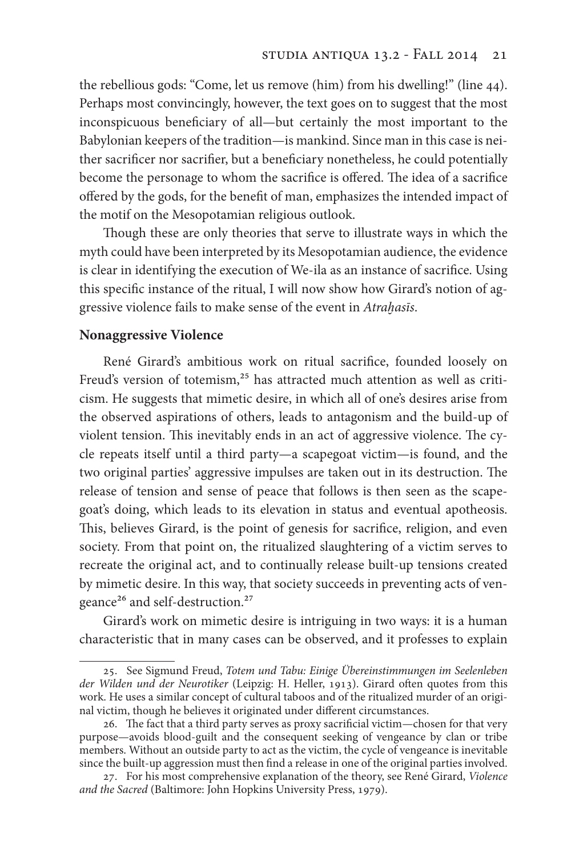the rebellious gods: "Come, let us remove (him) from his dwelling!" (line 44). Perhaps most convincingly, however, the text goes on to suggest that the most inconspicuous benefciary of all—but certainly the most important to the Babylonian keepers of the tradition—is mankind. Since man in this case is neither sacrifcer nor sacrifer, but a benefciary nonetheless, he could potentially become the personage to whom the sacrifice is offered. The idea of a sacrifice ofered by the gods, for the beneft of man, emphasizes the intended impact of the motif on the Mesopotamian religious outlook.

Though these are only theories that serve to illustrate ways in which the myth could have been interpreted by its Mesopotamian audience, the evidence is clear in identifying the execution of We-ila as an instance of sacrifce. Using this specifc instance of the ritual, I will now show how Girard's notion of aggressive violence fails to make sense of the event in *Atraḫas*ī*s*.

### **Nonaggressive Violence**

René Girard's ambitious work on ritual sacrifce, founded loosely on Freud's version of totemism,<sup>25</sup> has attracted much attention as well as criticism. He suggests that mimetic desire, in which all of one's desires arise from the observed aspirations of others, leads to antagonism and the build-up of violent tension. This inevitably ends in an act of aggressive violence. The cycle repeats itself until a third party—a scapegoat victim—is found, and the two original parties' aggressive impulses are taken out in its destruction. The release of tension and sense of peace that follows is then seen as the scapegoat's doing, which leads to its elevation in status and eventual apotheosis. This, believes Girard, is the point of genesis for sacrifice, religion, and even society. From that point on, the ritualized slaughtering of a victim serves to recreate the original act, and to continually release built-up tensions created by mimetic desire. In this way, that society succeeds in preventing acts of vengeance<sup>26</sup> and self-destruction.<sup>27</sup>

Girard's work on mimetic desire is intriguing in two ways: it is a human characteristic that in many cases can be observed, and it professes to explain

<sup>25</sup>. See Sigmund Freud, *Totem und Tabu: Einige Übereinstimmungen im Seelenleben der Wilden und der Neurotiker* (Leipzig: H. Heller, 1913). Girard ofen quotes from this work. He uses a similar concept of cultural taboos and of the ritualized murder of an original victim, though he believes it originated under diferent circumstances.

<sup>26.</sup> The fact that a third party serves as proxy sacrificial victim—chosen for that very purpose—avoids blood-guilt and the consequent seeking of vengeance by clan or tribe members. Without an outside party to act as the victim, the cycle of vengeance is inevitable since the built-up aggression must then fnd a release in one of the original parties involved.

<sup>27</sup>. For his most comprehensive explanation of the theory, see René Girard, *Violence and the Sacred* (Baltimore: John Hopkins University Press, 1979).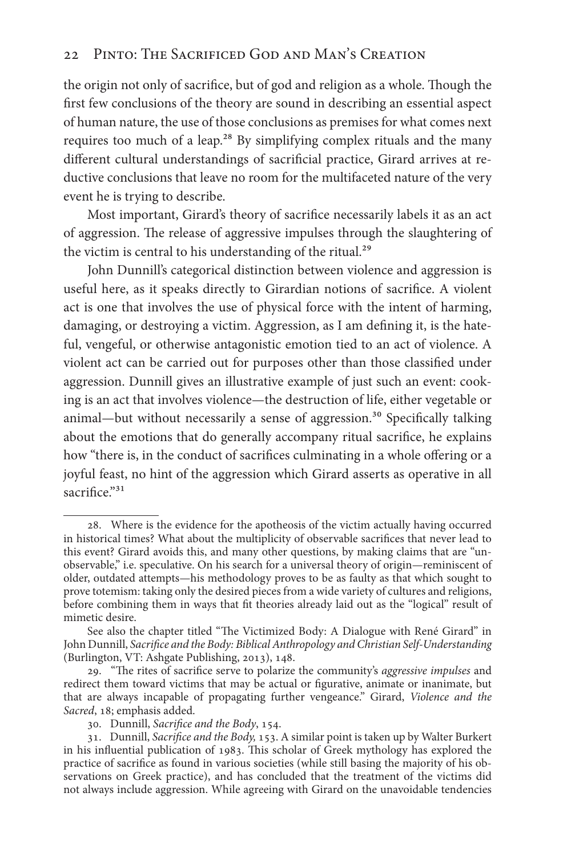## 22 Pinto: The Sacrificed God and Man's Creation

the origin not only of sacrifice, but of god and religion as a whole. Though the frst few conclusions of the theory are sound in describing an essential aspect of human nature, the use of those conclusions as premises for what comes next requires too much of a leap.<sup>28</sup> By simplifying complex rituals and the many diferent cultural understandings of sacrifcial practice, Girard arrives at reductive conclusions that leave no room for the multifaceted nature of the very event he is trying to describe.

Most important, Girard's theory of sacrifce necessarily labels it as an act of aggression. The release of aggressive impulses through the slaughtering of the victim is central to his understanding of the ritual.<sup>29</sup>

John Dunnill's categorical distinction between violence and aggression is useful here, as it speaks directly to Girardian notions of sacrifce. A violent act is one that involves the use of physical force with the intent of harming, damaging, or destroying a victim. Aggression, as I am defning it, is the hateful, vengeful, or otherwise antagonistic emotion tied to an act of violence. A violent act can be carried out for purposes other than those classifed under aggression. Dunnill gives an illustrative example of just such an event: cooking is an act that involves violence—the destruction of life, either vegetable or animal—but without necessarily a sense of aggression.<sup>30</sup> Specifically talking about the emotions that do generally accompany ritual sacrifce, he explains how "there is, in the conduct of sacrifices culminating in a whole offering or a joyful feast, no hint of the aggression which Girard asserts as operative in all sacrifice."<sup>31</sup>

<sup>28</sup>. Where is the evidence for the apotheosis of the victim actually having occurred in historical times? What about the multiplicity of observable sacrifces that never lead to this event? Girard avoids this, and many other questions, by making claims that are "unobservable," i.e. speculative. On his search for a universal theory of origin—reminiscent of older, outdated attempts—his methodology proves to be as faulty as that which sought to prove totemism: taking only the desired pieces from a wide variety of cultures and religions, before combining them in ways that ft theories already laid out as the "logical" result of mimetic desire.

See also the chapter titled "The Victimized Body: A Dialogue with René Girard" in John Dunnill, *Sacri*f*ce and the Body: Biblical Anthropology and Christian Self-Understanding* (Burlington, VT: Ashgate Publishing, 2013), 148.

<sup>29</sup>. "Te rites of sacrifce serve to polarize the community's *aggressive impulses* and redirect them toward victims that may be actual or fgurative, animate or inanimate, but that are always incapable of propagating further vengeance." Girard, *Violence and the Sacred*, 18; emphasis added.

<sup>30</sup>. Dunnill, *Sacri*f*ce and the Body*, 154.

<sup>31</sup>. Dunnill, *Sacri*f*ce and the Body,* 153. A similar point is taken up by Walter Burkert in his infuential publication of 1983. Tis scholar of Greek mythology has explored the practice of sacrifce as found in various societies (while still basing the majority of his observations on Greek practice), and has concluded that the treatment of the victims did not always include aggression. While agreeing with Girard on the unavoidable tendencies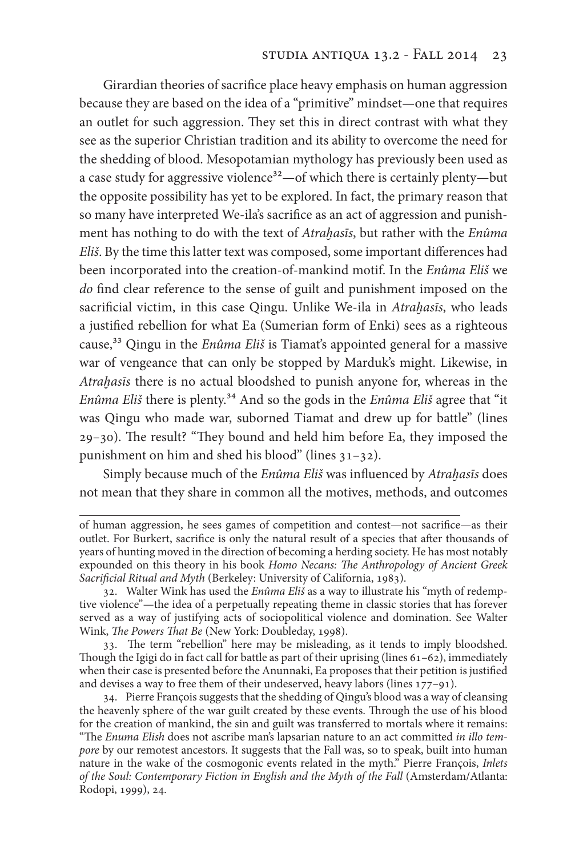Girardian theories of sacrifce place heavy emphasis on human aggression because they are based on the idea of a "primitive" mindset—one that requires an outlet for such aggression. They set this in direct contrast with what they see as the superior Christian tradition and its ability to overcome the need for the shedding of blood. Mesopotamian mythology has previously been used as a case study for aggressive violence<sup>32</sup>—of which there is certainly plenty—but the opposite possibility has yet to be explored. In fact, the primary reason that so many have interpreted We-ila's sacrifce as an act of aggression and punishment has nothing to do with the text of *Atraḫas*ī*s*, but rather with the *Enûma Eli*š. By the time this latter text was composed, some important diferences had been incorporated into the creation-of-mankind motif. In the *Enûma Eli*š we *do* fnd clear reference to the sense of guilt and punishment imposed on the sacrifcial victim, in this case Qingu. Unlike We-ila in *Atraḫas*ī*s*, who leads a justifed rebellion for what Ea (Sumerian form of Enki) sees as a righteous cause,33 Qingu in the *Enûma Eli*š is Tiamat's appointed general for a massive war of vengeance that can only be stopped by Marduk's might. Likewise, in *Atraḫas*ī*s* there is no actual bloodshed to punish anyone for, whereas in the *Enûma Eli*š there is plenty.34 And so the gods in the *Enûma Eli*š agree that "it was Qingu who made war, suborned Tiamat and drew up for battle" (lines 29-30). The result? "They bound and held him before Ea, they imposed the punishment on him and shed his blood" (lines 31–32).

Simply because much of the *Enûma Eli*š was infuenced by *Atraḫas*ī*s* does not mean that they share in common all the motives, methods, and outcomes

33. The term "rebellion" here may be misleading, as it tends to imply bloodshed. Though the Igigi do in fact call for battle as part of their uprising (lines  $61-62$ ), immediately when their case is presented before the Anunnaki, Ea proposes that their petition is justifed and devises a way to free them of their undeserved, heavy labors (lines 177–91).

34. Pierre François suggests that the shedding of Qingu's blood was a way of cleansing the heavenly sphere of the war guilt created by these events. Through the use of his blood for the creation of mankind, the sin and guilt was transferred to mortals where it remains: "The *Enuma Elish* does not ascribe man's lapsarian nature to an act committed *in illo tempore* by our remotest ancestors. It suggests that the Fall was, so to speak, built into human nature in the wake of the cosmogonic events related in the myth." Pierre François, *Inlets of the Soul: Contemporary Fiction in English and the Myth of the Fall* (Amsterdam/Atlanta: Rodopi, 1999), 24.

of human aggression, he sees games of competition and contest—not sacrifce—as their outlet. For Burkert, sacrifce is only the natural result of a species that afer thousands of years of hunting moved in the direction of becoming a herding society. He has most notably expounded on this theory in his book *Homo Necans:* T*e Anthropology of Ancient Greek Sacri*f*cial Ritual and Myth* (Berkeley: University of California, 1983).

<sup>32</sup>. Walter Wink has used the *Enûma Eli*š as a way to illustrate his "myth of redemptive violence"—the idea of a perpetually repeating theme in classic stories that has forever served as a way of justifying acts of sociopolitical violence and domination. See Walter Wink, T*e Powers* T*at Be* (New York: Doubleday, 1998).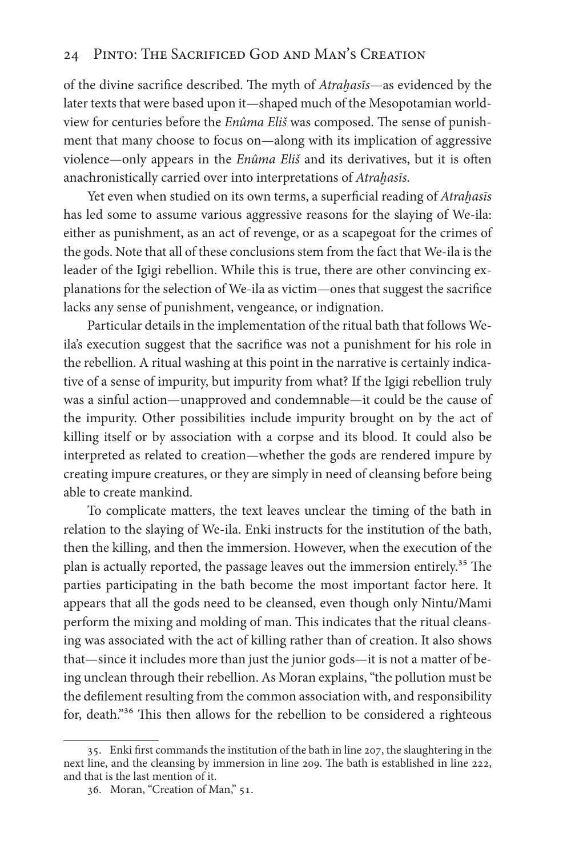## 24 Pinto: The Sacrificed God and Man's Creation

of the divine sacrifice described. The myth of *Atrahasis*—as evidenced by the later texts that were based upon it—shaped much of the Mesopotamian worldview for centuries before the *Enûma Eliš* was composed. The sense of punishment that many choose to focus on—along with its implication of aggressive violence—only appears in the *Enûma Eli*š and its derivatives, but it is ofen anachronistically carried over into interpretations of *Atraḫas*ī*s*.

Yet even when studied on its own terms, a superfcial reading of *Atraḫas*ī*s* has led some to assume various aggressive reasons for the slaying of We-ila: either as punishment, as an act of revenge, or as a scapegoat for the crimes of the gods. Note that all of these conclusions stem from the fact that We-ila is the leader of the Igigi rebellion. While this is true, there are other convincing explanations for the selection of We-ila as victim—ones that suggest the sacrifce lacks any sense of punishment, vengeance, or indignation.

Particular details in the implementation of the ritual bath that follows Weila's execution suggest that the sacrifce was not a punishment for his role in the rebellion. A ritual washing at this point in the narrative is certainly indicative of a sense of impurity, but impurity from what? If the Igigi rebellion truly was a sinful action—unapproved and condemnable—it could be the cause of the impurity. Other possibilities include impurity brought on by the act of killing itself or by association with a corpse and its blood. It could also be interpreted as related to creation—whether the gods are rendered impure by creating impure creatures, or they are simply in need of cleansing before being able to create mankind.

To complicate matters, the text leaves unclear the timing of the bath in relation to the slaying of We-ila. Enki instructs for the institution of the bath, then the killing, and then the immersion. However, when the execution of the plan is actually reported, the passage leaves out the immersion entirely.<sup>35</sup> The parties participating in the bath become the most important factor here. It appears that all the gods need to be cleansed, even though only Nintu/Mami perform the mixing and molding of man. This indicates that the ritual cleansing was associated with the act of killing rather than of creation. It also shows that—since it includes more than just the junior gods—it is not a matter of being unclean through their rebellion. As Moran explains, "the pollution must be the deflement resulting from the common association with, and responsibility for, death."<sup>36</sup> This then allows for the rebellion to be considered a righteous

<sup>35</sup>. Enki frst commands the institution of the bath in line 207, the slaughtering in the next line, and the cleansing by immersion in line 209. The bath is established in line 222, and that is the last mention of it.

<sup>36</sup>. Moran, "Creation of Man," 51.